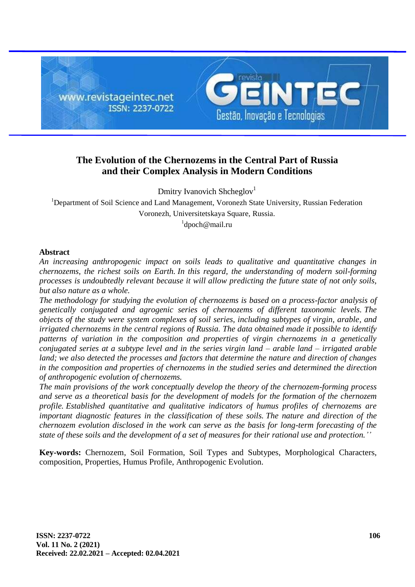

# **The Evolution of the Chernozems in the Central Part of Russia and their Complex Analysis in Modern Conditions**

Dmitry Ivanovich Shcheglov<sup>1</sup>

<sup>1</sup>Department of Soil Science and Land Management, Voronezh State University, Russian Federation Voronezh, Universitetskaya Square, Russia.

1 [dpoch@mail.ru](mailto:dpoch@mail.ru)

## **Abstract**

*An increasing anthropogenic impact on soils leads to qualitative and quantitative changes in chernozems, the richest soils on Earth. In this regard, the understanding of modern soil-forming processes is undoubtedly relevant because it will allow predicting the future state of not only soils, but also nature as a whole.*

*The methodology for studying the evolution of chernozems is based on a process-factor analysis of genetically conjugated and agrogenic series of chernozems of different taxonomic levels. The objects of the study were system complexes of soil series, including subtypes of virgin, arable, and irrigated chernozems in the central regions of Russia. The data obtained made it possible to identify patterns of variation in the composition and properties of virgin chernozems in a genetically conjugated series at a subtype level and in the series virgin land – arable land – irrigated arable land; we also detected the processes and factors that determine the nature and direction of changes in the composition and properties of chernozems in the studied series and determined the direction of anthropogenic evolution of chernozems.*

*The main provisions of the work conceptually develop the theory of the chernozem-forming process and serve as a theoretical basis for the development of models for the formation of the chernozem profile. Established quantitative and qualitative indicators of humus profiles of chernozems are important diagnostic features in the classification of these soils. The nature and direction of the chernozem evolution disclosed in the work can serve as the basis for long-term forecasting of the state of these soils and the development of a set of measures for their rational use and protection.''*

**Key-words:** Chernozem, Soil Formation, Soil Types and Subtypes, Morphological Characters, composition, Properties, Humus Profile, Anthropogenic Evolution.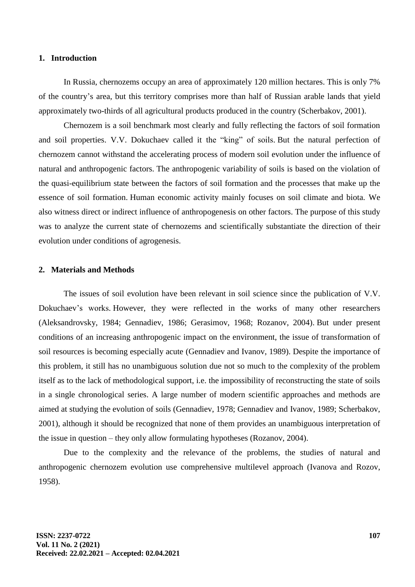#### **1. Introduction**

In Russia, chernozems occupy an area of approximately 120 million hectares. This is only 7% of the country's area, but this territory comprises more than half of Russian arable lands that yield approximately two-thirds of all agricultural products produced in the country (Scherbakov, 2001).

Chernozem is a soil benchmark most clearly and fully reflecting the factors of soil formation and soil properties. V.V. Dokuchaev called it the "king" of soils. But the natural perfection of chernozem cannot withstand the accelerating process of modern soil evolution under the influence of natural and anthropogenic factors. The anthropogenic variability of soils is based on the violation of the quasi-equilibrium state between the factors of soil formation and the processes that make up the essence of soil formation. Human economic activity mainly focuses on soil climate and biota. We also witness direct or indirect influence of anthropogenesis on other factors. The purpose of this study was to analyze the current state of chernozems and scientifically substantiate the direction of their evolution under conditions of agrogenesis.

#### **2. Materials and Methods**

The issues of soil evolution have been relevant in soil science since the publication of V.V. Dokuchaev's works. However, they were reflected in the works of many other researchers (Aleksandrovsky, 1984; Gennadiev, 1986; Gerasimov, 1968; Rozanov, 2004). But under present conditions of an increasing anthropogenic impact on the environment, the issue of transformation of soil resources is becoming especially acute (Gennadiev and Ivanov, 1989). Despite the importance of this problem, it still has no unambiguous solution due not so much to the complexity of the problem itself as to the lack of methodological support, i.e. the impossibility of reconstructing the state of soils in a single chronological series. A large number of modern scientific approaches and methods are aimed at studying the evolution of soils (Gennadiev, 1978; Gennadiev and Ivanov, 1989; Scherbakov, 2001), although it should be recognized that none of them provides an unambiguous interpretation of the issue in question – they only allow formulating hypotheses (Rozanov, 2004).

Due to the complexity and the relevance of the problems, the studies of natural and anthropogenic chernozem evolution use comprehensive multilevel approach (Ivanova and Rozov, 1958).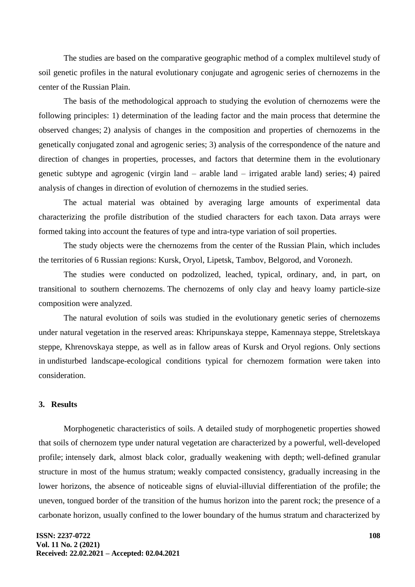The studies are based on the comparative geographic method of a complex multilevel study of soil genetic profiles in the natural evolutionary conjugate and agrogenic series of chernozems in the center of the Russian Plain.

The basis of the methodological approach to studying the evolution of chernozems were the following principles: 1) determination of the leading factor and the main process that determine the observed changes; 2) analysis of changes in the composition and properties of chernozems in the genetically conjugated zonal and agrogenic series; 3) analysis of the correspondence of the nature and direction of changes in properties, processes, and factors that determine them in the evolutionary genetic subtype and agrogenic (virgin land – arable land – irrigated arable land) series; 4) paired analysis of changes in direction of evolution of chernozems in the studied series.

The actual material was obtained by averaging large amounts of experimental data characterizing the profile distribution of the studied characters for each taxon. Data arrays were formed taking into account the features of type and intra-type variation of soil properties.

The study objects were the chernozems from the center of the Russian Plain, which includes the territories of 6 Russian regions: Kursk, Oryol, Lipetsk, Tambov, Belgorod, and Voronezh.

The studies were conducted on podzolized, leached, typical, ordinary, and, in part, on transitional to southern chernozems. The chernozems of only clay and heavy loamy particle-size composition were analyzed.

The natural evolution of soils was studied in the evolutionary genetic series of chernozems under natural vegetation in the reserved areas: Khripunskaya steppe, Kamennaya steppe, Streletskaya steppe, Khrenovskaya steppe, as well as in fallow areas of Kursk and Oryol regions. Only sections in undisturbed landscape-ecological conditions typical for chernozem formation were taken into consideration.

## **3. Results**

Morphogenetic characteristics of soils. A detailed study of morphogenetic properties showed that soils of chernozem type under natural vegetation are characterized by a powerful, well-developed profile; intensely dark, almost black color, gradually weakening with depth; well-defined granular structure in most of the humus stratum; weakly compacted consistency, gradually increasing in the lower horizons, the absence of noticeable signs of eluvial-illuvial differentiation of the profile; the uneven, tongued border of the transition of the humus horizon into the parent rock; the presence of a carbonate horizon, usually confined to the lower boundary of the humus stratum and characterized by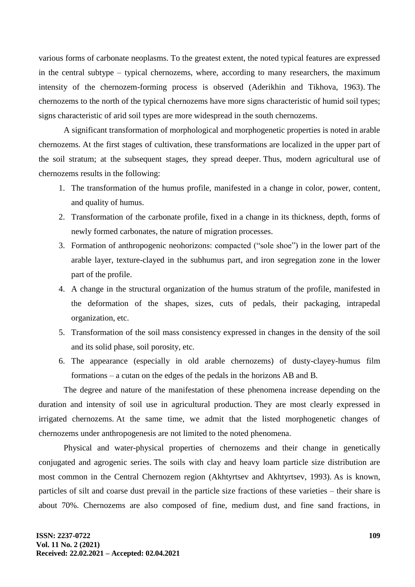various forms of carbonate neoplasms. To the greatest extent, the noted typical features are expressed in the central subtype – typical chernozems, where, according to many researchers, the maximum intensity of the chernozem-forming process is observed (Aderikhin and Tikhova, 1963). The chernozems to the north of the typical chernozems have more signs characteristic of humid soil types; signs characteristic of arid soil types are more widespread in the south chernozems.

A significant transformation of morphological and morphogenetic properties is noted in arable chernozems. At the first stages of cultivation, these transformations are localized in the upper part of the soil stratum; at the subsequent stages, they spread deeper. Thus, modern agricultural use of chernozems results in the following:

- 1. The transformation of the humus profile, manifested in a change in color, power, content, and quality of humus.
- 2. Transformation of the carbonate profile, fixed in a change in its thickness, depth, forms of newly formed carbonates, the nature of migration processes.
- 3. Formation of anthropogenic neohorizons: compacted ("sole shoe") in the lower part of the arable layer, texture-clayed in the subhumus part, and iron segregation zone in the lower part of the profile.
- 4. A change in the structural organization of the humus stratum of the profile, manifested in the deformation of the shapes, sizes, cuts of pedals, their packaging, intrapedal organization, etc.
- 5. Transformation of the soil mass consistency expressed in changes in the density of the soil and its solid phase, soil porosity, etc.
- 6. The appearance (especially in old arable chernozems) of dusty-clayey-humus film formations – a cutan on the edges of the pedals in the horizons AB and B.

The degree and nature of the manifestation of these phenomena increase depending on the duration and intensity of soil use in agricultural production. They are most clearly expressed in irrigated chernozems. At the same time, we admit that the listed morphogenetic changes of chernozems under anthropogenesis are not limited to the noted phenomena.

Physical and water-physical properties of chernozems and their change in genetically conjugated and agrogenic series. The soils with clay and heavy loam particle size distribution are most common in the Central Chernozem region (Akhtyrtsev and Akhtyrtsev, 1993). As is known, particles of silt and coarse dust prevail in the particle size fractions of these varieties – their share is about 70%. Chernozems are also composed of fine, medium dust, and fine sand fractions, in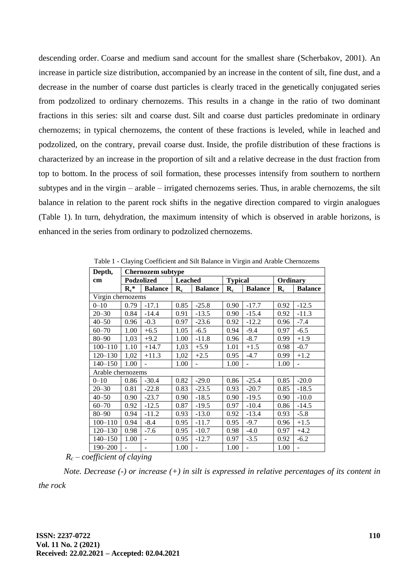descending order. Coarse and medium sand account for the smallest share (Scherbakov, 2001). An increase in particle size distribution, accompanied by an increase in the content of silt, fine dust, and a decrease in the number of coarse dust particles is clearly traced in the genetically conjugated series from podzolized to ordinary chernozems. This results in a change in the ratio of two dominant fractions in this series: silt and coarse dust. Silt and coarse dust particles predominate in ordinary chernozems; in typical chernozems, the content of these fractions is leveled, while in leached and podzolized, on the contrary, prevail coarse dust. Inside, the profile distribution of these fractions is characterized by an increase in the proportion of silt and a relative decrease in the dust fraction from top to bottom. In the process of soil formation, these processes intensify from southern to northern subtypes and in the virgin – arable – irrigated chernozems series. Thus, in arable chernozems, the silt balance in relation to the parent rock shifts in the negative direction compared to virgin analogues (Table 1). In turn, dehydration, the maximum intensity of which is observed in arable horizons, is enhanced in the series from ordinary to podzolized chernozems.

| Depth,            | <b>Chernozem subtype</b> |                |                      |                |                |                |                      |                          |  |  |  |
|-------------------|--------------------------|----------------|----------------------|----------------|----------------|----------------|----------------------|--------------------------|--|--|--|
| cm                | Podzolized               |                | Leached              |                | <b>Typical</b> |                | Ordinary             |                          |  |  |  |
|                   | $R_c^*$                  | <b>Balance</b> | $\mathbf{R}_{\rm c}$ | <b>Balance</b> | $R_c$          | <b>Balance</b> | $\mathbf{R}_{\rm c}$ | <b>Balance</b>           |  |  |  |
| Virgin chernozems |                          |                |                      |                |                |                |                      |                          |  |  |  |
| $0 - 10$          | 0.79                     | $-17.1$        | 0.85                 | $-25.8$        | 0.90           | $-17.7$        | 0.92                 | $-12.5$                  |  |  |  |
| $20 - 30$         | 0.84                     | $-14.4$        | 0.91                 | $-13.5$        | 0.90           | $-15.4$        | 0.92                 | $-11.3$                  |  |  |  |
| $40 - 50$         | 0.96                     | $-0.3$         | 0.97                 | $-23.6$        | 0.92           | $-12.2$        | 0.96                 | $-7.4$                   |  |  |  |
| $60 - 70$         | 1.00                     | $+6.5$         | 1.05                 | $-6.5$         | 0.94           | $-9.4$         | 0.97                 | $-6.5$                   |  |  |  |
| $80 - 90$         | 1,03                     | $+9.2$         | 1.00                 | $-11.8$        | 0.96           | $-8.7$         | 0.99                 | $+1.9$                   |  |  |  |
| $100 - 110$       | 1.10                     | $+14.7$        | 1,03                 | $+5.9$         | 1.01           | $+1.5$         | 0.98                 | $-0.7$                   |  |  |  |
| $120 - 130$       | 1,02                     | $+11.3$        | 1,02                 | $+2.5$         | 0.95           | $-4.7$         | 0.99                 | $+1.2$                   |  |  |  |
| $140 - 150$       | 1.00                     |                | 1.00                 |                | 1.00           | $\overline{a}$ | 1.00                 |                          |  |  |  |
|                   | Arable chernozems        |                |                      |                |                |                |                      |                          |  |  |  |
| $0 - 10$          | 0.86                     | $-30.4$        | 0.82                 | $-29.0$        | 0.86           | $-25.4$        | 0.85                 | $-20.0$                  |  |  |  |
| $20 - 30$         | 0.81                     | $-22.8$        | 0.83                 | $-23.5$        | 0.93           | $-20.7$        | 0.85                 | $-18.5$                  |  |  |  |
| $40 - 50$         | 0.90                     | $-23.7$        | 0.90                 | $-18.5$        | 0.90           | $-19.5$        | 0.90                 | $-10.0$                  |  |  |  |
| $60 - 70$         | 0.92                     | $-12.5$        | 0.87                 | $-19.5$        | 0.97           | $-10.4$        | 0.86                 | $-14.5$                  |  |  |  |
| $80 - 90$         | 0.94                     | $-11.2$        | 0.93                 | $-13.0$        | 0.92           | $-13.4$        | 0.93                 | $-5.8$                   |  |  |  |
| $100 - 110$       | 0.94                     | $-8.4$         | 0.95                 | $-11.7$        | 0.95           | $-9.7$         | 0.96                 | $+1.5$                   |  |  |  |
| $120 - 130$       | 0.98                     | $-7.6$         | 0.95                 | $-10.7$        | 0.98           | $-4.0$         | 0.97                 | $+4.2$                   |  |  |  |
| $140 - 150$       | 1.00                     | L.             | 0.95                 | $-12.7$        | 0.97           | $-3.5$         | 0.92                 | $-6.2$                   |  |  |  |
| 190-200           |                          |                | 1.00                 |                | 1.00           | $\overline{a}$ | 1.00                 | $\overline{\phantom{0}}$ |  |  |  |

Table 1 - Claying Coefficient and Silt Balance in Virgin and Arable Chernozems

*R<sup>c</sup> – coefficient of claying*

*Note. Decrease (-) or increase (+) in silt is expressed in relative percentages of its content in the rock*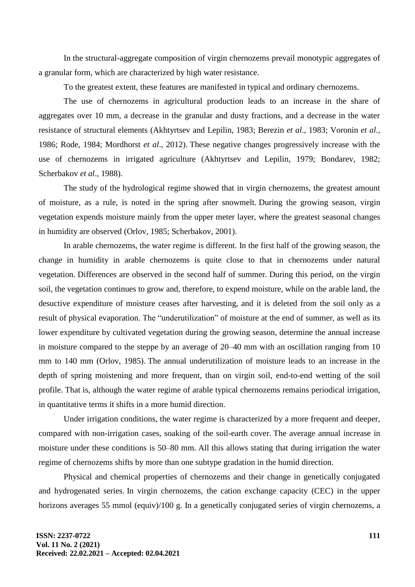In the structural-aggregate composition of virgin chernozems prevail monotypic aggregates of a granular form, which are characterized by high water resistance.

To the greatest extent, these features are manifested in typical and ordinary chernozems.

The use of chernozems in agricultural production leads to an increase in the share of aggregates over 10 mm, a decrease in the granular and dusty fractions, and a decrease in the water resistance of structural elements (Akhtyrtsev and Lepilin, 1983; Berezin *et al*., 1983; Voronin *et al.*, 1986; Rode, 1984; Mordhorst *et al*., 2012). These negative changes progressively increase with the use of chernozems in irrigated agriculture (Akhtyrtsev and Lepilin, 1979; Bondarev, 1982; Scherbakov *et al*., 1988).

The study of the hydrological regime showed that in virgin chernozems, the greatest amount of moisture, as a rule, is noted in the spring after snowmelt. During the growing season, virgin vegetation expends moisture mainly from the upper meter layer, where the greatest seasonal changes in humidity are observed (Orlov, 1985; Scherbakov, 2001).

In arable chernozems, the water regime is different. In the first half of the growing season, the change in humidity in arable chernozems is quite close to that in chernozems under natural vegetation. Differences are observed in the second half of summer. During this period, on the virgin soil, the vegetation continues to grow and, therefore, to expend moisture, while on the arable land, the desuctive expenditure of moisture ceases after harvesting, and it is deleted from the soil only as a result of physical evaporation. The "underutilization" of moisture at the end of summer, as well as its lower expenditure by cultivated vegetation during the growing season, determine the annual increase in moisture compared to the steppe by an average of 20–40 mm with an oscillation ranging from 10 mm to 140 mm (Orlov, 1985). The annual underutilization of moisture leads to an increase in the depth of spring moistening and more frequent, than on virgin soil, end-to-end wetting of the soil profile. That is, although the water regime of arable typical chernozems remains periodical irrigation, in quantitative terms it shifts in a more humid direction.

Under irrigation conditions, the water regime is characterized by a more frequent and deeper, compared with non-irrigation cases, soaking of the soil-earth cover. The average annual increase in moisture under these conditions is 50–80 mm. All this allows stating that during irrigation the water regime of chernozems shifts by more than one subtype gradation in the humid direction.

Physical and chemical properties of chernozems and their change in genetically conjugated and hydrogenated series. In virgin chernozems, the cation exchange capacity (CEC) in the upper horizons averages 55 mmol (equiv)/100 g. In a genetically conjugated series of virgin chernozems, a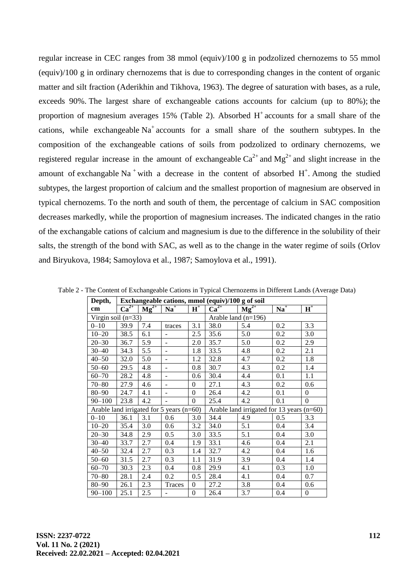regular increase in CEC ranges from 38 mmol (equiv)/100 g in podzolized chernozems to 55 mmol (equiv)/100 g in ordinary chernozems that is due to corresponding changes in the content of organic matter and silt fraction (Aderikhin and Tikhova, 1963). The degree of saturation with bases, as a rule, exceeds 90%. The largest share of exchangeable cations accounts for calcium (up to 80%); the proportion of magnesium averages 15% (Table 2). Absorbed  $H^+$  accounts for a small share of the cations, while exchangeable  $Na<sup>+</sup>$  accounts for a small share of the southern subtypes. In the composition of the exchangeable cations of soils from podzolized to ordinary chernozems, we registered regular increase in the amount of exchangeable  $Ca^{2+}$  and  $Mg^{2+}$  and slight increase in the amount of exchangable Na<sup>+</sup> with a decrease in the content of absorbed  $H^+$ . Among the studied subtypes, the largest proportion of calcium and the smallest proportion of magnesium are observed in typical chernozems. To the north and south of them, the percentage of calcium in SAC composition decreases markedly, while the proportion of magnesium increases. The indicated changes in the ratio of the exchangable cations of calcium and magnesium is due to the difference in the solubility of their salts, the strength of the bond with SAC, as well as to the change in the water regime of soils (Orlov and Biryukova, 1984; Samoylova et al., 1987; Samoylova et al., 1991).

| Depth,               | Exchangeable cations, mmol (equiv)/100 g of soil |                  |                |                  |                       |                                           |       |          |  |  |  |
|----------------------|--------------------------------------------------|------------------|----------------|------------------|-----------------------|-------------------------------------------|-------|----------|--|--|--|
| cm                   | $Ca^{2+}$                                        | $Mg^{2+}$        | $Na+$          | $H^+$            | $Ca^{2+}$             | $Mg^{2+}$                                 | $Na+$ | $H^+$    |  |  |  |
| Virgin soil $(n=33)$ |                                                  |                  |                |                  | Arable land $(n=196)$ |                                           |       |          |  |  |  |
| $0 - 10$             | 39.9                                             | 7.4              | traces         | 3.1              | 38.0                  | 5.4                                       | 0.2   | 3.3      |  |  |  |
| $10 - 20$            | 38.5                                             | 6.1              |                | 2.5              | 35.6                  | 5.0                                       | 0.2   | 3.0      |  |  |  |
| $20 - 30$            | 36.7                                             | 5.9              |                | 2.0              | 35.7                  | 5.0                                       | 0.2   | 2.9      |  |  |  |
| $30 - 40$            | 34.3                                             | 5.5              |                | 1.8              | 33.5                  | 4.8                                       | 0.2   | 2.1      |  |  |  |
| $40 - 50$            | 32.0                                             | 5.0              | ٠              | 1.2              | 32.8                  | 4.7                                       | 0.2   | 1.8      |  |  |  |
| $50 - 60$            | 29.5                                             | 4.8              | $\blacksquare$ | 0.8              | 30.7                  | 4.3                                       | 0.2   | 1.4      |  |  |  |
| $60 - 70$            | 28.2                                             | 4.8              | ÷.             | 0.6              | 30.4                  | 4.4                                       | 0.1   | 1.1      |  |  |  |
| $70 - 80$            | 27.9                                             | 4.6              | L.             | $\theta$         | 27.1                  | 4.3                                       | 0.2   | 0.6      |  |  |  |
| $80 - 90$            | 24.7                                             | 4.1              |                | $\theta$         | 26.4                  | 4.2                                       | 0.1   | $\theta$ |  |  |  |
| $90 - 100$           | 23.8                                             | 4.2              |                | $\theta$         | 25.4                  | 4.2                                       | 0.1   | $\Omega$ |  |  |  |
|                      | Arable land irrigated for 5 years (n=60)         |                  |                |                  |                       | Arable land irrigated for 13 years (n=60) |       |          |  |  |  |
| $0 - 10$             | 36.1                                             | 3.1              | 0.6            | 3.0              | 34.4                  | 4.9                                       | 0.5   | 3.3      |  |  |  |
| $10 - 20$            | 35.4                                             | 3.0              | 0.6            | 3.2              | 34.0                  | 5.1                                       | 0.4   | 3.4      |  |  |  |
| $20 - 30$            | 34.8                                             | 2.9              | 0.5            | 3.0              | 33.5                  | 5.1                                       | 0.4   | 3.0      |  |  |  |
| $30 - 40$            | 33.7                                             | 2.7              | 0.4            | 1.9              | 33.1                  | 4.6                                       | 0.4   | 2.1      |  |  |  |
| $40 - 50$            | 32.4                                             | 2.7              | 0.3            | 1.4              | 32.7                  | 4.2                                       | 0.4   | 1.6      |  |  |  |
| $50 - 60$            | 31.5                                             | 2.7              | 0.3            | 1.1              | 31.9                  | 3.9                                       | 0.4   | 1.4      |  |  |  |
| $60 - 70$            | 30.3                                             | $2.\overline{3}$ | 0.4            | 0.8              | 29.9                  | 4.1                                       | 0.3   | 1.0      |  |  |  |
| $70 - 80$            | 28.1                                             | 2.4              | 0.2            | 0.5              | 28.4                  | 4.1                                       | 0.4   | 0.7      |  |  |  |
| $80 - 90$            | 26.1                                             | 2.3              | Traces         | $\theta$         | 27.2                  | 3.8                                       | 0.4   | 0.6      |  |  |  |
| $90 - 100$           | 25.1                                             | 2.5              |                | $\boldsymbol{0}$ | 26.4                  | 3.7                                       | 0.4   | $\theta$ |  |  |  |

Table 2 - The Content of Exchangeable Cations in Typical Chernozems in Different Lands (Average Data)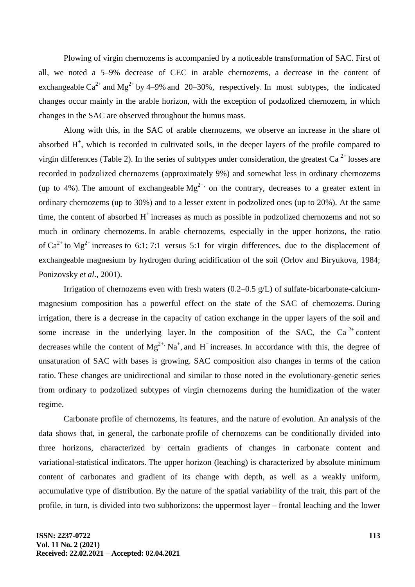Plowing of virgin chernozems is accompanied by a noticeable transformation of SAC. First of all, we noted a 5–9% decrease of CEC in arable chernozems, a decrease in the content of exchangeable  $Ca^{2+}$  and Mg<sup>2+</sup> by 4–9% and 20–30%, respectively. In most subtypes, the indicated changes occur mainly in the arable horizon, with the exception of podzolized chernozem, in which changes in the SAC are observed throughout the humus mass.

Along with this, in the SAC of arable chernozems, we observe an increase in the share of absorbed  $H^+$ , which is recorded in cultivated soils, in the deeper layers of the profile compared to virgin differences (Table 2). In the series of subtypes under consideration, the greatest Ca<sup>2+</sup> losses are recorded in podzolized chernozems (approximately 9%) and somewhat less in ordinary chernozems (up to 4%). The amount of exchangeable  $Mg^{2+}$ , on the contrary, decreases to a greater extent in ordinary chernozems (up to 30%) and to a lesser extent in podzolized ones (up to 20%). At the same time, the content of absorbed  $H^+$  increases as much as possible in podzolized chernozems and not so much in ordinary chernozems. In arable chernozems, especially in the upper horizons, the ratio of  $Ca^{2+}$  to  $Mg^{2+}$  increases to 6:1; 7:1 versus 5:1 for virgin differences, due to the displacement of exchangeable magnesium by hydrogen during acidification of the soil (Orlov and Biryukova, 1984; Ponizovsky *et al*., 2001).

Irrigation of chernozems even with fresh waters (0.2–0.5 g/L) of sulfate-bicarbonate-calciummagnesium composition has a powerful effect on the state of the SAC of chernozems. During irrigation, there is a decrease in the capacity of cation exchange in the upper layers of the soil and some increase in the underlying layer. In the composition of the SAC, the Ca<sup>2+</sup> content decreases while the content of  $Mg^{2+}$ , Na<sup>+</sup>, and H<sup>+</sup> increases. In accordance with this, the degree of unsaturation of SAC with bases is growing. SAC composition also changes in terms of the cation ratio. These changes are unidirectional and similar to those noted in the evolutionary-genetic series from ordinary to podzolized subtypes of virgin chernozems during the humidization of the water regime.

Carbonate profile of chernozems, its features, and the nature of evolution. An analysis of the data shows that, in general, the carbonate profile of chernozems can be conditionally divided into three horizons, characterized by certain gradients of changes in carbonate content and variational-statistical indicators. The upper horizon (leaching) is characterized by absolute minimum content of carbonates and gradient of its change with depth, as well as a weakly uniform, accumulative type of distribution. By the nature of the spatial variability of the trait, this part of the profile, in turn, is divided into two subhorizons: the uppermost layer – frontal leaching and the lower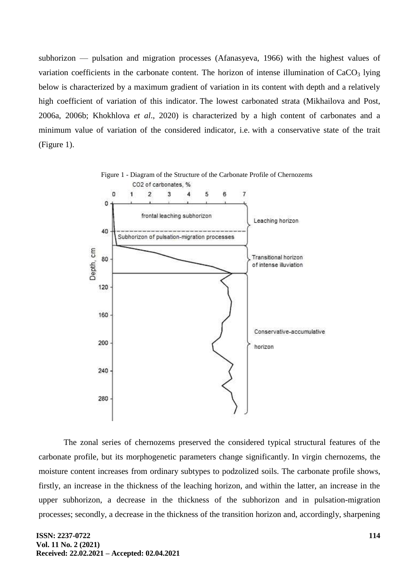subhorizon — pulsation and migration processes (Afanasyeva, 1966) with the highest values of variation coefficients in the carbonate content. The horizon of intense illumination of  $CaCO<sub>3</sub>$  lying below is characterized by a maximum gradient of variation in its content with depth and a relatively high coefficient of variation of this indicator. The lowest carbonated strata (Mikhailova and Post, 2006a, 2006b; Khokhlova *et al*., 2020) is characterized by a high content of carbonates and a minimum value of variation of the considered indicator, i.e. with a conservative state of the trait (Figure 1).



The zonal series of chernozems preserved the considered typical structural features of the carbonate profile, but its morphogenetic parameters change significantly. In virgin chernozems, the moisture content increases from ordinary subtypes to podzolized soils. The carbonate profile shows, firstly, an increase in the thickness of the leaching horizon, and within the latter, an increase in the upper subhorizon, a decrease in the thickness of the subhorizon and in pulsation-migration processes; secondly, a decrease in the thickness of the transition horizon and, accordingly, sharpening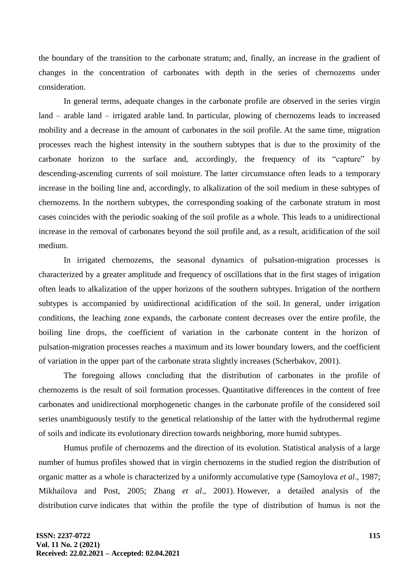the boundary of the transition to the carbonate stratum; and, finally, an increase in the gradient of changes in the concentration of carbonates with depth in the series of chernozems under consideration.

In general terms, adequate changes in the carbonate profile are observed in the series virgin land – arable land – irrigated arable land. In particular, plowing of chernozems leads to increased mobility and a decrease in the amount of carbonates in the soil profile. At the same time, migration processes reach the highest intensity in the southern subtypes that is due to the proximity of the carbonate horizon to the surface and, accordingly, the frequency of its "capture" by descending-ascending currents of soil moisture. The latter circumstance often leads to a temporary increase in the boiling line and, accordingly, to alkalization of the soil medium in these subtypes of chernozems. In the northern subtypes, the corresponding soaking of the carbonate stratum in most cases coincides with the periodic soaking of the soil profile as a whole. This leads to a unidirectional increase in the removal of carbonates beyond the soil profile and, as a result, acidification of the soil medium.

In irrigated chernozems, the seasonal dynamics of pulsation-migration processes is characterized by a greater amplitude and frequency of oscillations that in the first stages of irrigation often leads to alkalization of the upper horizons of the southern subtypes. Irrigation of the northern subtypes is accompanied by unidirectional acidification of the soil. In general, under irrigation conditions, the leaching zone expands, the carbonate content decreases over the entire profile, the boiling line drops, the coefficient of variation in the carbonate content in the horizon of pulsation-migration processes reaches a maximum and its lower boundary lowers, and the coefficient of variation in the upper part of the carbonate strata slightly increases (Scherbakov, 2001).

The foregoing allows concluding that the distribution of carbonates in the profile of chernozems is the result of soil formation processes. Quantitative differences in the content of free carbonates and unidirectional morphogenetic changes in the carbonate profile of the considered soil series unambiguously testify to the genetical relationship of the latter with the hydrothermal regime of soils and indicate its evolutionary direction towards neighboring, more humid subtypes.

Humus profile of chernozems and the direction of its evolution. Statistical analysis of a large number of humus profiles showed that in virgin chernozems in the studied region the distribution of organic matter as a whole is characterized by a uniformly accumulative type (Samoylova *et al*., 1987; Mikhailova and Post, 2005; Zhang *et al*., 2001). However, a detailed analysis of the distribution curve indicates that within the profile the type of distribution of humus is not the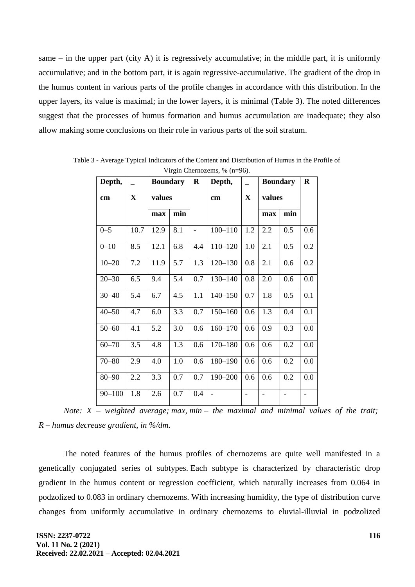same – in the upper part (city A) it is regressively accumulative; in the middle part, it is uniformly accumulative; and in the bottom part, it is again regressive-accumulative. The gradient of the drop in the humus content in various parts of the profile changes in accordance with this distribution. In the upper layers, its value is maximal; in the lower layers, it is minimal (Table 3). The noted differences suggest that the processes of humus formation and humus accumulation are inadequate; they also allow making some conclusions on their role in various parts of the soil stratum.

| $\frac{1}{2}$ m <sub>5</sub> m Chemozenis, 70 $\frac{1}{2}$ m $\frac{1}{2}$<br>Depth,<br><b>Boundary</b> |             |        |     | $\bf R$             | Depth,      |             | <b>Boundary</b> |                | $\bf R$ |
|----------------------------------------------------------------------------------------------------------|-------------|--------|-----|---------------------|-------------|-------------|-----------------|----------------|---------|
| cm                                                                                                       | $\mathbf X$ | values |     |                     | cm          | $\mathbf X$ | values          |                |         |
|                                                                                                          |             | max    | min |                     |             |             | max             | min            |         |
| $0 - 5$                                                                                                  | 10.7        | 12.9   | 8.1 | $\bar{\phantom{a}}$ | $100 - 110$ | 1.2         | 2.2             | 0.5            | 0.6     |
| $0 - 10$                                                                                                 | 8.5         | 12.1   | 6.8 | 4.4                 | $110 - 120$ | 1.0         | 2.1             | 0.5            | 0.2     |
| $10 - 20$                                                                                                | 7.2         | 11.9   | 5.7 | 1.3                 | $120 - 130$ | 0.8         | 2.1             | 0.6            | 0.2     |
| $20 - 30$                                                                                                | 6.5         | 9.4    | 5.4 | 0.7                 | $130 - 140$ | 0.8         | 2.0             | 0.6            | 0.0     |
| $30 - 40$                                                                                                | 5.4         | 6.7    | 4.5 | 1.1                 | $140 - 150$ | 0.7         | 1.8             | 0.5            | 0.1     |
| $40 - 50$                                                                                                | 4.7         | 6.0    | 3.3 | 0.7                 | $150 - 160$ | 0.6         | 1.3             | 0.4            | 0.1     |
| $50 - 60$                                                                                                | 4.1         | 5.2    | 3.0 | 0.6                 | $160 - 170$ | 0.6         | 0.9             | 0.3            | 0.0     |
| $60 - 70$                                                                                                | 3.5         | 4.8    | 1.3 | 0.6                 | $170 - 180$ | 0.6         | 0.6             | 0.2            | 0.0     |
| $70 - 80$                                                                                                | 2.9         | 4.0    | 1.0 | 0.6                 | 180-190     | 0.6         | 0.6             | 0.2            | 0.0     |
| $80 - 90$                                                                                                | 2.2         | 3.3    | 0.7 | 0.7                 | 190-200     | 0.6         | 0.6             | 0.2            | 0.0     |
| $90 - 100$                                                                                               | 1.8         | 2.6    | 0.7 | 0.4                 |             |             | $\overline{a}$  | $\overline{a}$ |         |

Table 3 - Average Typical Indicators of the Content and Distribution of Humus in the Profile of Virgin Chernozems,  $\frac{0}{6}$  (n=96).

*Note: X – weighted average; max, min – the maximal and minimal values of the trait; R – humus decrease gradient, in %/dm.*

The noted features of the humus profiles of chernozems are quite well manifested in a genetically conjugated series of subtypes. Each subtype is characterized by characteristic drop gradient in the humus content or regression coefficient, which naturally increases from 0.064 in podzolized to 0.083 in ordinary chernozems. With increasing humidity, the type of distribution curve changes from uniformly accumulative in ordinary chernozems to eluvial-illuvial in podzolized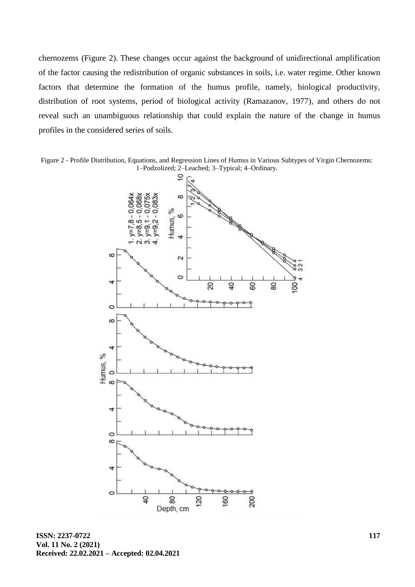chernozems (Figure 2). These changes occur against the background of unidirectional amplification of the factor causing the redistribution of organic substances in soils, i.e. water regime. Other known factors that determine the formation of the humus profile, namely, biological productivity, distribution of root systems, period of biological activity (Ramazanov, 1977), and others do not reveal such an unambiguous relationship that could explain the nature of the change in humus profiles in the considered series of soils.

Figure 2 - Profile Distribution, Equations, and Regression Lines of Humus in Various Subtypes of Virgin Chernozems: 1–Podzolized; 2–Leached; 3–Typical; 4–Ordinary.



**ISSN: 2237-0722 Vol. 11 No. 2 (2021) Received: 22.02.2021 – Accepted: 02.04.2021**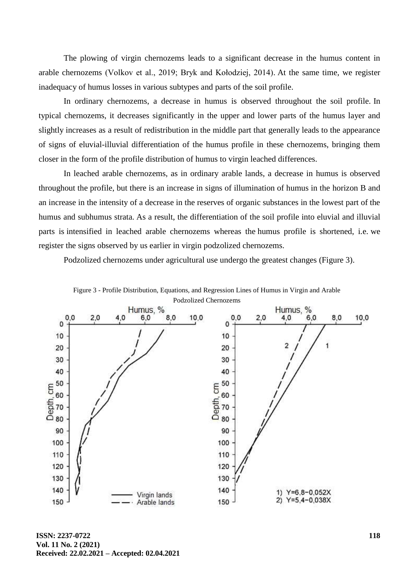The plowing of virgin chernozems leads to a significant decrease in the humus content in arable chernozems (Volkov et al., 2019; Bryk and Kołodziej, 2014). At the same time, we register inadequacy of humus losses in various subtypes and parts of the soil profile.

In ordinary chernozems, a decrease in humus is observed throughout the soil profile. In typical chernozems, it decreases significantly in the upper and lower parts of the humus layer and slightly increases as a result of redistribution in the middle part that generally leads to the appearance of signs of eluvial-illuvial differentiation of the humus profile in these chernozems, bringing them closer in the form of the profile distribution of humus to virgin leached differences.

In leached arable chernozems, as in ordinary arable lands, a decrease in humus is observed throughout the profile, but there is an increase in signs of illumination of humus in the horizon B and an increase in the intensity of a decrease in the reserves of organic substances in the lowest part of the humus and subhumus strata. As a result, the differentiation of the soil profile into eluvial and illuvial parts is intensified in leached arable chernozems whereas the humus profile is shortened, i.e. we register the signs observed by us earlier in virgin podzolized chernozems.

Podzolized chernozems under agricultural use undergo the greatest changes (Figure 3).



Figure 3 - Profile Distribution, Equations, and Regression Lines of Humus in Virgin and Arable Podzolized Chernozems

**ISSN: 2237-0722 Vol. 11 No. 2 (2021) Received: 22.02.2021 – Accepted: 02.04.2021**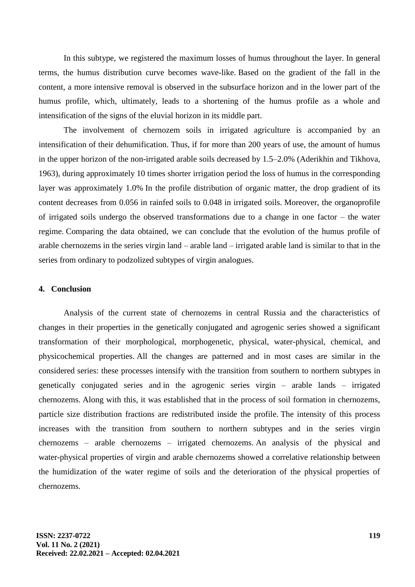In this subtype, we registered the maximum losses of humus throughout the layer. In general terms, the humus distribution curve becomes wave-like. Based on the gradient of the fall in the content, a more intensive removal is observed in the subsurface horizon and in the lower part of the humus profile, which, ultimately, leads to a shortening of the humus profile as a whole and intensification of the signs of the eluvial horizon in its middle part.

The involvement of chernozem soils in irrigated agriculture is accompanied by an intensification of their dehumification. Thus, if for more than 200 years of use, the amount of humus in the upper horizon of the non-irrigated arable soils decreased by 1.5–2.0% (Aderikhin and Tikhova, 1963), during approximately 10 times shorter irrigation period the loss of humus in the corresponding layer was approximately 1.0% In the profile distribution of organic matter, the drop gradient of its content decreases from 0.056 in rainfed soils to 0.048 in irrigated soils. Moreover, the organoprofile of irrigated soils undergo the observed transformations due to a change in one factor – the water regime. Comparing the data obtained, we can conclude that the evolution of the humus profile of arable chernozems in the series virgin land – arable land – irrigated arable land is similar to that in the series from ordinary to podzolized subtypes of virgin analogues.

## **4. Conclusion**

Analysis of the current state of chernozems in central Russia and the characteristics of changes in their properties in the genetically conjugated and agrogenic series showed a significant transformation of their morphological, morphogenetic, physical, water-physical, chemical, and physicochemical properties. All the changes are patterned and in most cases are similar in the considered series: these processes intensify with the transition from southern to northern subtypes in genetically conjugated series and in the agrogenic series virgin – arable lands – irrigated chernozems. Along with this, it was established that in the process of soil formation in chernozems, particle size distribution fractions are redistributed inside the profile. The intensity of this process increases with the transition from southern to northern subtypes and in the series virgin chernozems – arable chernozems – irrigated chernozems. An analysis of the physical and water-physical properties of virgin and arable chernozems showed a correlative relationship between the humidization of the water regime of soils and the deterioration of the physical properties of chernozems.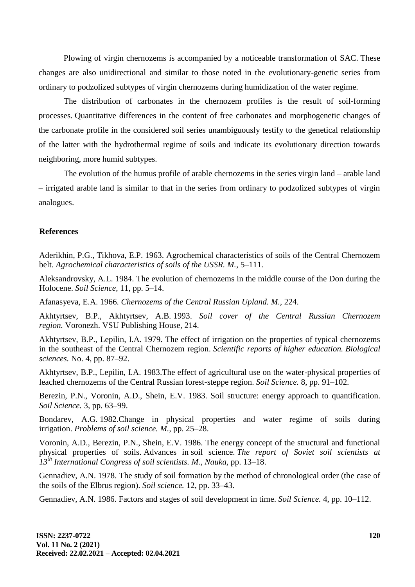Plowing of virgin chernozems is accompanied by a noticeable transformation of SAC. These changes are also unidirectional and similar to those noted in the evolutionary-genetic series from ordinary to podzolized subtypes of virgin chernozems during humidization of the water regime.

The distribution of carbonates in the chernozem profiles is the result of soil-forming processes. Quantitative differences in the content of free carbonates and morphogenetic changes of the carbonate profile in the considered soil series unambiguously testify to the genetical relationship of the latter with the hydrothermal regime of soils and indicate its evolutionary direction towards neighboring, more humid subtypes.

The evolution of the humus profile of arable chernozems in the series virgin land – arable land – irrigated arable land is similar to that in the series from ordinary to podzolized subtypes of virgin analogues.

### **References**

Aderikhin, P.G., Tikhova, E.P. 1963. Agrochemical characteristics of soils of the Central Chernozem belt. *Agrochemical characteristics of soils of the USSR. M.,* 5–111.

Aleksandrovsky, A.L. 1984. The evolution of chernozems in the middle course of the Don during the Holocene. *Soil Science,* 11, pp. 5–14.

Afanasyeva, E.A. 1966. *Chernozems of the Central Russian Upland. M.,* 224.

Akhtyrtsev, B.P., Akhtyrtsev, A.B. 1993. *Soil cover of the Central Russian Chernozem region.* Voronezh. VSU Publishing House, 214.

Akhtyrtsev, B.P., Lepilin, I.A. 1979. The effect of irrigation on the properties of typical chernozems in the southeast of the Central Chernozem region. *Scientific reports of higher education. Biological sciences.* No. 4, pp. 87–92.

Akhtyrtsev, B.P., Lepilin, I.A. 1983.The effect of agricultural use on the water-physical properties of leached chernozems of the Central Russian forest-steppe region. *Soil Science.* 8, pp. 91–102.

Berezin, P.N., Voronin, A.D., Shein, E.V. 1983. Soil structure: energy approach to quantification. *Soil Science.* 3, pp. 63–99.

Bondarev, A.G. 1982.Change in physical properties and water regime of soils during irrigation. *Problems of soil science. M.,* pp. 25–28.

Voronin, A.D., Berezin, P.N., Shein, E.V. 1986. The energy concept of the structural and functional physical properties of soils. Advances in soil science. *The report of Soviet soil scientists at 13th International Congress of soil scientists. M., Nauka,* pp. 13–18.

Gennadiev, A.N. 1978. The study of soil formation by the method of chronological order (the case of the soils of the Elbrus region). *Soil science.* 12, pp. 33–43.

Gennadiev, A.N. 1986. Factors and stages of soil development in time. *Soil Science.* 4, pp. 10–112.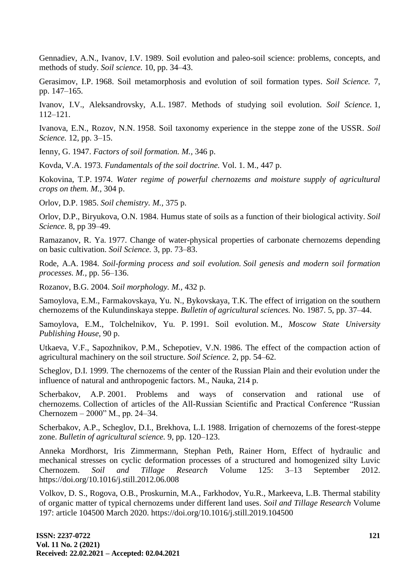Gennadiev, A.N., Ivanov, I.V. 1989. Soil evolution and paleo-soil science: problems, concepts, and methods of study. *Soil science.* 10, pp. 34–43.

Gerasimov, I.P. 1968. Soil metamorphosis and evolution of soil formation types. *Soil Science.* 7, pp. 147–165.

Ivanov, I.V., Aleksandrovsky, A.L. 1987. Methods of studying soil evolution. *Soil Science.* 1, 112–121.

Ivanova, E.N., Rozov, N.N. 1958. Soil taxonomy experience in the steppe zone of the USSR. *Soil Science.* 12, pp. 3–15.

Ienny, G. 1947. *Factors of soil formation. M.,* 346 p.

Kovda, V.A. 1973. *Fundamentals of the soil doctrine.* Vol. 1. M., 447 p.

Kokovina, T.P. 1974. *Water regime of powerful chernozems and moisture supply of agricultural crops on them. M.,* 304 p.

Orlov, D.P. 1985. *Soil chemistry. M.,* 375 p.

Orlov, D.P., Biryukova, O.N. 1984. Humus state of soils as a function of their biological activity. *Soil Science.* 8, pp 39–49.

Ramazanov, R. Ya. 1977. Change of water-physical properties of carbonate chernozems depending on basic cultivation. *Soil Science.* 3, pp. 73–83.

Rode, A.A. 1984. *Soil-forming process and soil evolution. Soil genesis and modern soil formation processes. M.,* pp. 56–136.

Rozanov, B.G. 2004. *Soil morphology. M.,* 432 p.

Samoylova, E.M., Farmakovskaya, Yu. N., Bykovskaya, T.K. The effect of irrigation on the southern chernozems of the Kulundinskaya steppe. *Bulletin of agricultural sciences.* No. 1987. 5, pp. 37–44.

Samoylova, E.M., Tolchelnikov, Yu. P. 1991. Soil evolution. M., *Moscow State University Publishing House,* 90 p.

Utkaeva, V.F., Sapozhnikov, P.M., Schepotiev, V.N. 1986. The effect of the compaction action of agricultural machinery on the soil structure. *Soil Science.* 2, pp. 54–62.

Scheglov, D.I. 1999. The chernozems of the center of the Russian Plain and their evolution under the influence of natural and anthropogenic factors. M., Nauka, 214 p.

Scherbakov, A.P. 2001. Problems and ways of conservation and rational use of chernozems. Collection of articles of the All-Russian Scientific and Practical Conference "Russian Chernozem  $-2000$ " M., pp. 24–34.

Scherbakov, A.P., Scheglov, D.I., Brekhova, L.I. 1988. Irrigation of chernozems of the forest-steppe zone. *Bulletin of agricultural science.* 9, pp. 120–123.

Anneka Mordhorst, Iris Zimmermann, Stephan Peth, Rainer Horn, Effect of hydraulic and mechanical stresses on cyclic deformation processes of a structured and homogenized silty Luvic Chernozem. *Soil and Tillage Research* Volume 125: 3–13 September 2012. https://doi.org/10.1016/j.still.2012.06.008

Volkov, D. S., Rogova, O.B., Proskurnin, M.A., Farkhodov, Yu.R., Markeeva, L.B. Thermal stability of organic matter of typical chernozems under different land uses. *Soil and Tillage Research* Volume 197: article 104500 March 2020. https://doi.org/10.1016/j.still.2019.104500